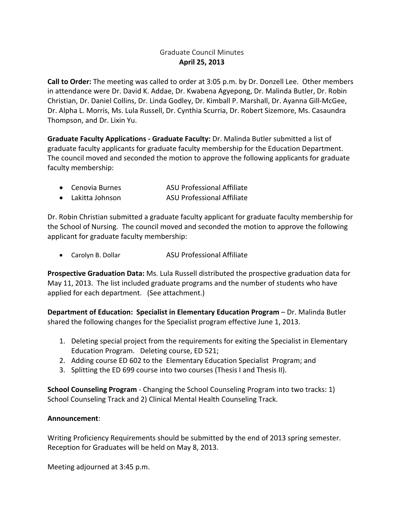### Graduate Council Minutes **April 25, 2013**

**Call to Order:** The meeting was called to order at 3:05 p.m. by Dr. Donzell Lee. Other members in attendance were Dr. David K. Addae, Dr. Kwabena Agyepong, Dr. Malinda Butler, Dr. Robin Christian, Dr. Daniel Collins, Dr. Linda Godley, Dr. Kimball P. Marshall, Dr. Ayanna Gill‐McGee, Dr. Alpha L. Morris, Ms. Lula Russell, Dr. Cynthia Scurria, Dr. Robert Sizemore, Ms. Casaundra Thompson, and Dr. Lixin Yu.

**Graduate Faculty Applications ‐ Graduate Faculty:** Dr. Malinda Butler submitted a list of graduate faculty applicants for graduate faculty membership for the Education Department. The council moved and seconded the motion to approve the following applicants for graduate faculty membership:

| Cenovia Burnes    | <b>ASU Professional Affiliate</b> |
|-------------------|-----------------------------------|
| a Lobitta Johnson | ACLL Drofoccional Affiliato       |

Lakitta Johnson ASU Professional Affiliate

Dr. Robin Christian submitted a graduate faculty applicant for graduate faculty membership for the School of Nursing. The council moved and seconded the motion to approve the following applicant for graduate faculty membership:

• Carolyn B. Dollar **ASU Professional Affiliate** 

**Prospective Graduation Data:** Ms. Lula Russell distributed the prospective graduation data for May 11, 2013. The list included graduate programs and the number of students who have applied for each department. (See attachment.)

**Department of Education: Specialist in Elementary Education Program** – Dr. Malinda Butler shared the following changes for the Specialist program effective June 1, 2013.

- 1. Deleting special project from the requirements for exiting the Specialist in Elementary Education Program. Deleting course, ED 521;
- 2. Adding course ED 602 to the Elementary Education Specialist Program; and
- 3. Splitting the ED 699 course into two courses (Thesis I and Thesis II).

**School Counseling Program** ‐ Changing the School Counseling Program into two tracks: 1) School Counseling Track and 2) Clinical Mental Health Counseling Track.

#### **Announcement**:

Writing Proficiency Requirements should be submitted by the end of 2013 spring semester. Reception for Graduates will be held on May 8, 2013.

Meeting adjourned at 3:45 p.m.